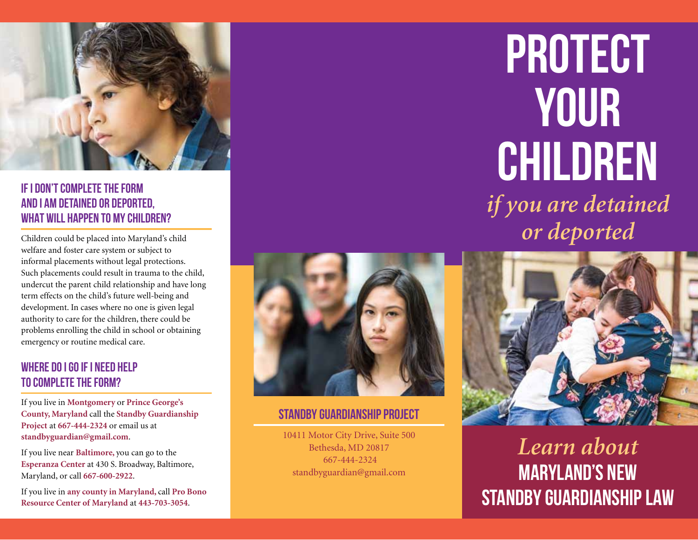

### **IF I DON'T COMPLETE THE FORM AND I AM DETAINED OR DEPORTED, WHAT WILL HAPPEN TO MY CHILDREN?**

Children could be placed into Maryland's child welfare and foster care system or subject to informal placements without legal protections. Such placements could result in trauma to the child, undercut the parent child relationship and have long term effects on the child's future well-being and development. In cases where no one is given legal authority to care for the children, there could be problems enrolling the child in school or obtaining emergency or routine medical care.

#### **WHERE DO I GO IF I NEED HELP TO COMPLETE THE FORM?**

If you live in **Montgomery** or **Prince George's County, Maryland** call the **Standby Guardianship Project** at **667-444-2324** or email us at **standbyguardian@gmail.com**.

If you live near **Baltimore,** you can go to the **Esperanza Center** at 430 S. Broadway, Baltimore, Maryland, or call **667-600-2922**.

If you live in **any county in Maryland,** call **Pro Bono Resource Center of Maryland** at **443-703-3054**.



# **Standby Guardianship Project**

10411 Motor City Drive, Suite 500 Bethesda, MD 20817 667-444-2324 standbyguardian@gmail.com

# **Protect your children**  *if you are detained or deported*



*Learn about*  **Maryland's NEW STANDBY GUARDIANSHIP LAW**